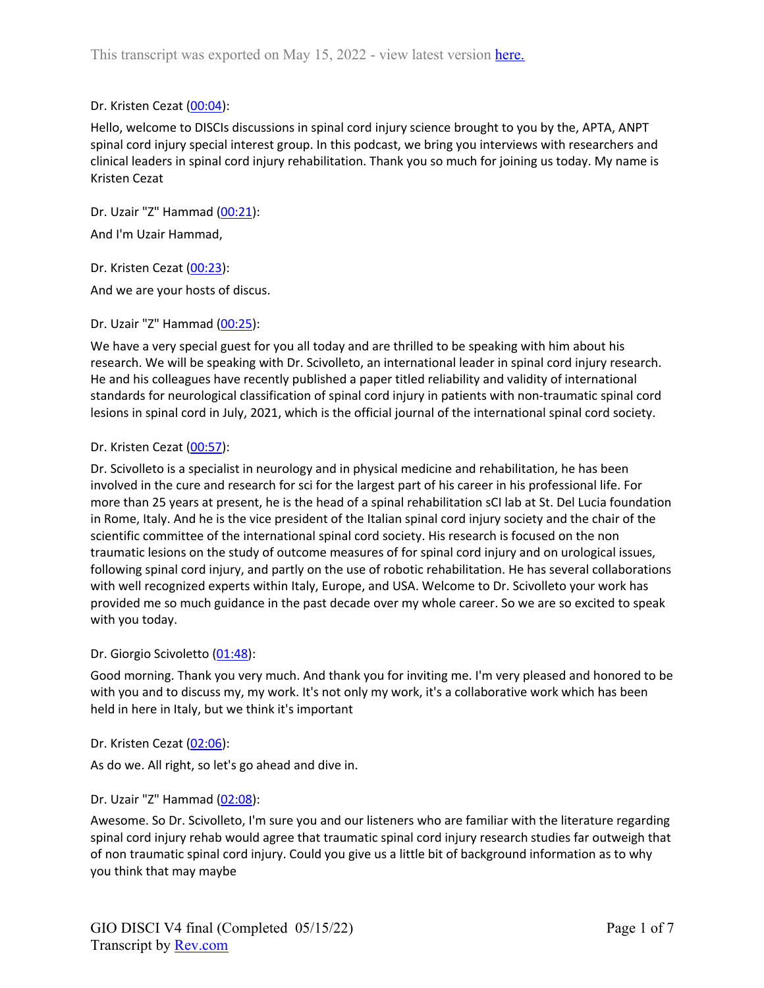## Dr. Kristen Cezat (00:04):

Hello, welcome to DISCIs discussions in spinal cord injury science brought to you by the, APTA, ANPT spinal cord injury special interest group. In this podcast, we bring you interviews with researchers and clinical leaders in spinal cord injury rehabilitation. Thank you so much for joining us today. My name is Kristen Cezat

Dr. Uzair "Z" Hammad (00:21): And I'm Uzair Hammad,

Dr. Kristen Cezat (00:23):

And we are your hosts of discus.

Dr. Uzair "Z" Hammad (00:25):

We have a very special guest for you all today and are thrilled to be speaking with him about his research. We will be speaking with Dr. Scivolleto, an international leader in spinal cord injury research. He and his colleagues have recently published a paper titled reliability and validity of international standards for neurological classification of spinal cord injury in patients with non-traumatic spinal cord lesions in spinal cord in July, 2021, which is the official journal of the international spinal cord society.

### Dr. Kristen Cezat (00:57):

Dr. Scivolleto is a specialist in neurology and in physical medicine and rehabilitation, he has been involved in the cure and research for sci for the largest part of his career in his professional life. For more than 25 years at present, he is the head of a spinal rehabilitation sCI lab at St. Del Lucia foundation in Rome, Italy. And he is the vice president of the Italian spinal cord injury society and the chair of the scientific committee of the international spinal cord society. His research is focused on the non traumatic lesions on the study of outcome measures of for spinal cord injury and on urological issues, following spinal cord injury, and partly on the use of robotic rehabilitation. He has several collaborations with well recognized experts within Italy, Europe, and USA. Welcome to Dr. Scivolleto your work has provided me so much guidance in the past decade over my whole career. So we are so excited to speak with you today.

#### Dr. Giorgio Scivoletto (01:48):

Good morning. Thank you very much. And thank you for inviting me. I'm very pleased and honored to be with you and to discuss my, my work. It's not only my work, it's a collaborative work which has been held in here in Italy, but we think it's important

### Dr. Kristen Cezat (02:06):

As do we. All right, so let's go ahead and dive in.

### Dr. Uzair "Z" Hammad (02:08):

Awesome. So Dr. Scivolleto, I'm sure you and our listeners who are familiar with the literature regarding spinal cord injury rehab would agree that traumatic spinal cord injury research studies far outweigh that of non traumatic spinal cord injury. Could you give us a little bit of background information as to why you think that may maybe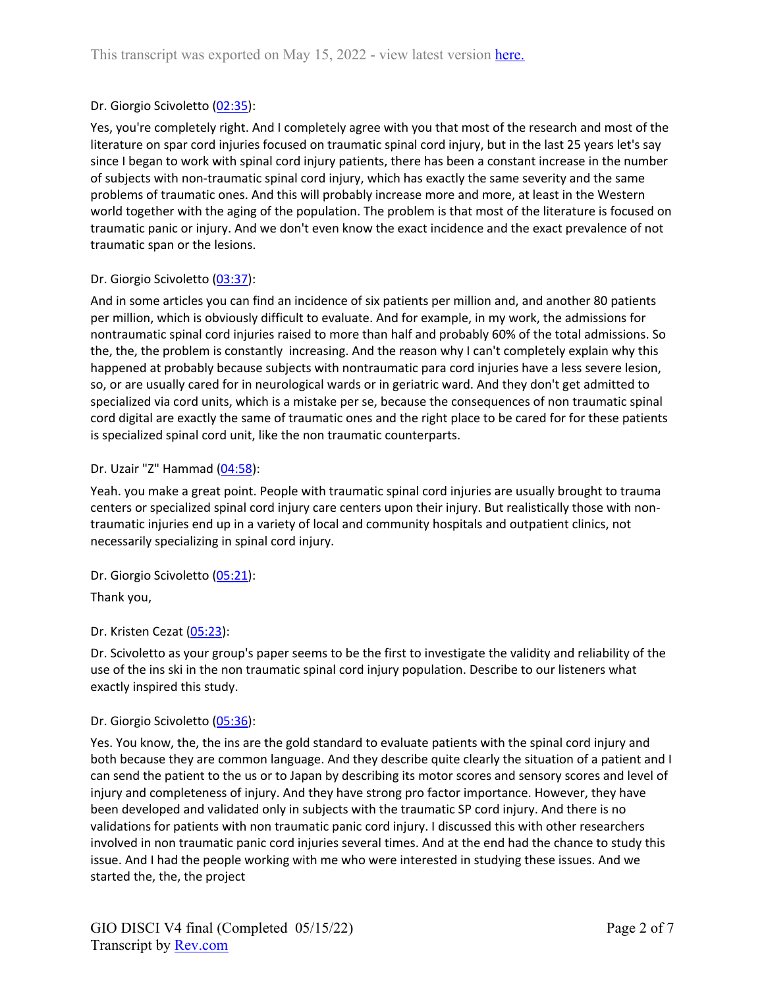# Dr. Giorgio Scivoletto (02:35):

Yes, you're completely right. And I completely agree with you that most of the research and most of the literature on spar cord injuries focused on traumatic spinal cord injury, but in the last 25 years let's say since I began to work with spinal cord injury patients, there has been a constant increase in the number of subjects with non-traumatic spinal cord injury, which has exactly the same severity and the same problems of traumatic ones. And this will probably increase more and more, at least in the Western world together with the aging of the population. The problem is that most of the literature is focused on traumatic panic or injury. And we don't even know the exact incidence and the exact prevalence of not traumatic span or the lesions.

### Dr. Giorgio Scivoletto (03:37):

And in some articles you can find an incidence of six patients per million and, and another 80 patients per million, which is obviously difficult to evaluate. And for example, in my work, the admissions for nontraumatic spinal cord injuries raised to more than half and probably 60% of the total admissions. So the, the, the problem is constantly increasing. And the reason why I can't completely explain why this happened at probably because subjects with nontraumatic para cord injuries have a less severe lesion, so, or are usually cared for in neurological wards or in geriatric ward. And they don't get admitted to specialized via cord units, which is a mistake per se, because the consequences of non traumatic spinal cord digital are exactly the same of traumatic ones and the right place to be cared for for these patients is specialized spinal cord unit, like the non traumatic counterparts.

### Dr. Uzair "Z" Hammad (04:58):

Yeah. you make a great point. People with traumatic spinal cord injuries are usually brought to trauma centers or specialized spinal cord injury care centers upon their injury. But realistically those with nontraumatic injuries end up in a variety of local and community hospitals and outpatient clinics, not necessarily specializing in spinal cord injury.

Dr. Giorgio Scivoletto (05:21): Thank you,

## Dr. Kristen Cezat (05:23):

Dr. Scivoletto as your group's paper seems to be the first to investigate the validity and reliability of the use of the ins ski in the non traumatic spinal cord injury population. Describe to our listeners what exactly inspired this study.

### Dr. Giorgio Scivoletto (05:36):

Yes. You know, the, the ins are the gold standard to evaluate patients with the spinal cord injury and both because they are common language. And they describe quite clearly the situation of a patient and I can send the patient to the us or to Japan by describing its motor scores and sensory scores and level of injury and completeness of injury. And they have strong pro factor importance. However, they have been developed and validated only in subjects with the traumatic SP cord injury. And there is no validations for patients with non traumatic panic cord injury. I discussed this with other researchers involved in non traumatic panic cord injuries several times. And at the end had the chance to study this issue. And I had the people working with me who were interested in studying these issues. And we started the, the, the project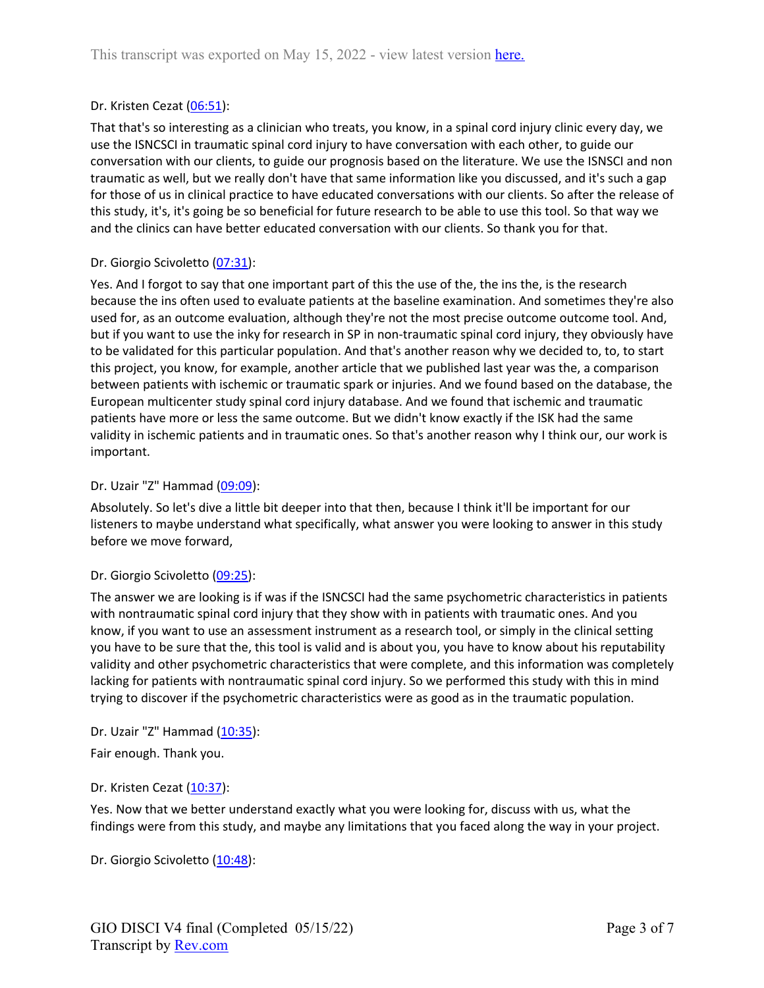## Dr. Kristen Cezat (06:51):

That that's so interesting as a clinician who treats, you know, in a spinal cord injury clinic every day, we use the ISNCSCI in traumatic spinal cord injury to have conversation with each other, to guide our conversation with our clients, to guide our prognosis based on the literature. We use the ISNSCI and non traumatic as well, but we really don't have that same information like you discussed, and it's such a gap for those of us in clinical practice to have educated conversations with our clients. So after the release of this study, it's, it's going be so beneficial for future research to be able to use this tool. So that way we and the clinics can have better educated conversation with our clients. So thank you for that.

## Dr. Giorgio Scivoletto (07:31):

Yes. And I forgot to say that one important part of this the use of the, the ins the, is the research because the ins often used to evaluate patients at the baseline examination. And sometimes they're also used for, as an outcome evaluation, although they're not the most precise outcome outcome tool. And, but if you want to use the inky for research in SP in non-traumatic spinal cord injury, they obviously have to be validated for this particular population. And that's another reason why we decided to, to, to start this project, you know, for example, another article that we published last year was the, a comparison between patients with ischemic or traumatic spark or injuries. And we found based on the database, the European multicenter study spinal cord injury database. And we found that ischemic and traumatic patients have more or less the same outcome. But we didn't know exactly if the ISK had the same validity in ischemic patients and in traumatic ones. So that's another reason why I think our, our work is important.

### Dr. Uzair "Z" Hammad (09:09):

Absolutely. So let's dive a little bit deeper into that then, because I think it'll be important for our listeners to maybe understand what specifically, what answer you were looking to answer in this study before we move forward,

### Dr. Giorgio Scivoletto (09:25):

The answer we are looking is if was if the ISNCSCI had the same psychometric characteristics in patients with nontraumatic spinal cord injury that they show with in patients with traumatic ones. And you know, if you want to use an assessment instrument as a research tool, or simply in the clinical setting you have to be sure that the, this tool is valid and is about you, you have to know about his reputability validity and other psychometric characteristics that were complete, and this information was completely lacking for patients with nontraumatic spinal cord injury. So we performed this study with this in mind trying to discover if the psychometric characteristics were as good as in the traumatic population.

### Dr. Uzair "Z" Hammad (10:35):

Fair enough. Thank you.

### Dr. Kristen Cezat (10:37):

Yes. Now that we better understand exactly what you were looking for, discuss with us, what the findings were from this study, and maybe any limitations that you faced along the way in your project.

Dr. Giorgio Scivoletto (10:48):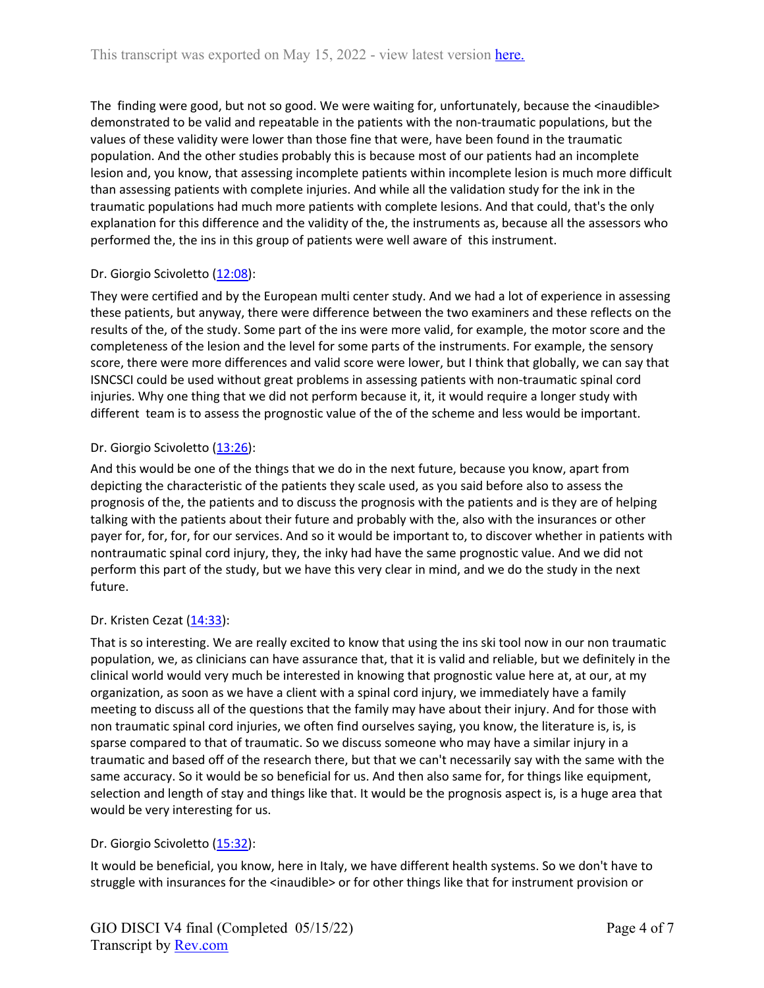The finding were good, but not so good. We were waiting for, unfortunately, because the <inaudible> demonstrated to be valid and repeatable in the patients with the non-traumatic populations, but the values of these validity were lower than those fine that were, have been found in the traumatic population. And the other studies probably this is because most of our patients had an incomplete lesion and, you know, that assessing incomplete patients within incomplete lesion is much more difficult than assessing patients with complete injuries. And while all the validation study for the ink in the traumatic populations had much more patients with complete lesions. And that could, that's the only explanation for this difference and the validity of the, the instruments as, because all the assessors who performed the, the ins in this group of patients were well aware of this instrument.

# Dr. Giorgio Scivoletto (12:08):

They were certified and by the European multi center study. And we had a lot of experience in assessing these patients, but anyway, there were difference between the two examiners and these reflects on the results of the, of the study. Some part of the ins were more valid, for example, the motor score and the completeness of the lesion and the level for some parts of the instruments. For example, the sensory score, there were more differences and valid score were lower, but I think that globally, we can say that ISNCSCI could be used without great problems in assessing patients with non-traumatic spinal cord injuries. Why one thing that we did not perform because it, it, it would require a longer study with different team is to assess the prognostic value of the of the scheme and less would be important.

# Dr. Giorgio Scivoletto (13:26):

And this would be one of the things that we do in the next future, because you know, apart from depicting the characteristic of the patients they scale used, as you said before also to assess the prognosis of the, the patients and to discuss the prognosis with the patients and is they are of helping talking with the patients about their future and probably with the, also with the insurances or other payer for, for, for, for our services. And so it would be important to, to discover whether in patients with nontraumatic spinal cord injury, they, the inky had have the same prognostic value. And we did not perform this part of the study, but we have this very clear in mind, and we do the study in the next future.

# Dr. Kristen Cezat (14:33):

That is so interesting. We are really excited to know that using the ins ski tool now in our non traumatic population, we, as clinicians can have assurance that, that it is valid and reliable, but we definitely in the clinical world would very much be interested in knowing that prognostic value here at, at our, at my organization, as soon as we have a client with a spinal cord injury, we immediately have a family meeting to discuss all of the questions that the family may have about their injury. And for those with non traumatic spinal cord injuries, we often find ourselves saying, you know, the literature is, is, is sparse compared to that of traumatic. So we discuss someone who may have a similar injury in a traumatic and based off of the research there, but that we can't necessarily say with the same with the same accuracy. So it would be so beneficial for us. And then also same for, for things like equipment, selection and length of stay and things like that. It would be the prognosis aspect is, is a huge area that would be very interesting for us.

# Dr. Giorgio Scivoletto (15:32):

It would be beneficial, you know, here in Italy, we have different health systems. So we don't have to struggle with insurances for the <inaudible> or for other things like that for instrument provision or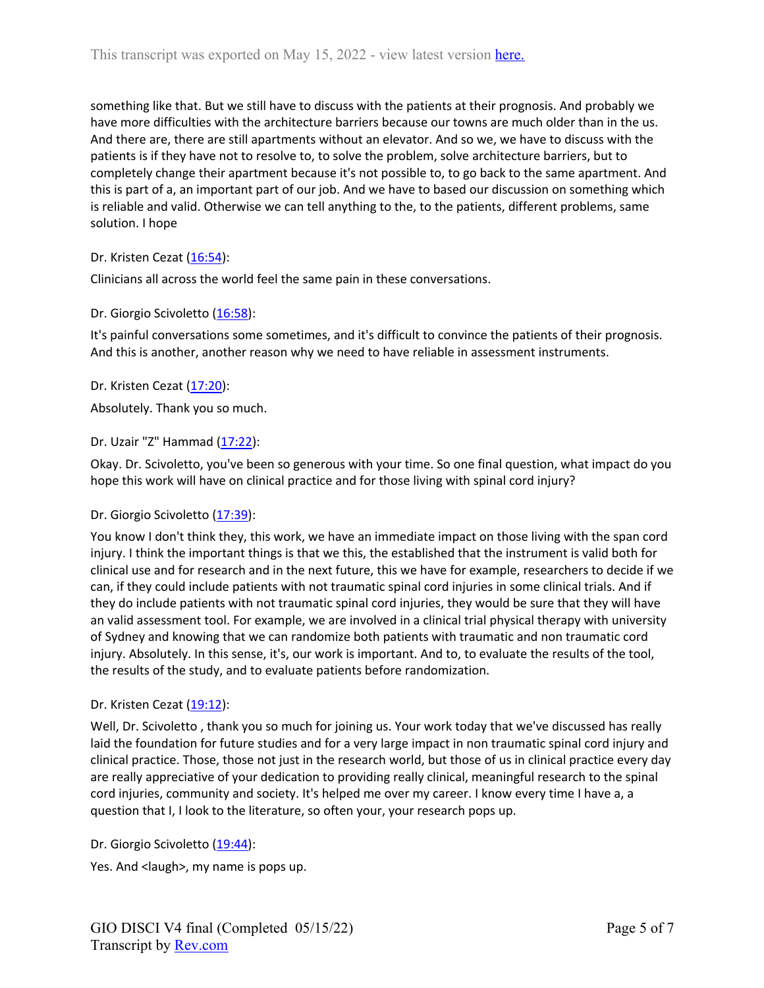something like that. But we still have to discuss with the patients at their prognosis. And probably we have more difficulties with the architecture barriers because our towns are much older than in the us. And there are, there are still apartments without an elevator. And so we, we have to discuss with the patients is if they have not to resolve to, to solve the problem, solve architecture barriers, but to completely change their apartment because it's not possible to, to go back to the same apartment. And this is part of a, an important part of our job. And we have to based our discussion on something which is reliable and valid. Otherwise we can tell anything to the, to the patients, different problems, same solution. I hope

### Dr. Kristen Cezat (16:54):

Clinicians all across the world feel the same pain in these conversations.

### Dr. Giorgio Scivoletto (16:58):

It's painful conversations some sometimes, and it's difficult to convince the patients of their prognosis. And this is another, another reason why we need to have reliable in assessment instruments.

### Dr. Kristen Cezat (17:20):

Absolutely. Thank you so much.

### Dr. Uzair "Z" Hammad (17:22):

Okay. Dr. Scivoletto, you've been so generous with your time. So one final question, what impact do you hope this work will have on clinical practice and for those living with spinal cord injury?

### Dr. Giorgio Scivoletto (17:39):

You know I don't think they, this work, we have an immediate impact on those living with the span cord injury. I think the important things is that we this, the established that the instrument is valid both for clinical use and for research and in the next future, this we have for example, researchers to decide if we can, if they could include patients with not traumatic spinal cord injuries in some clinical trials. And if they do include patients with not traumatic spinal cord injuries, they would be sure that they will have an valid assessment tool. For example, we are involved in a clinical trial physical therapy with university of Sydney and knowing that we can randomize both patients with traumatic and non traumatic cord injury. Absolutely. In this sense, it's, our work is important. And to, to evaluate the results of the tool, the results of the study, and to evaluate patients before randomization.

### Dr. Kristen Cezat (19:12):

Well, Dr. Scivoletto , thank you so much for joining us. Your work today that we've discussed has really laid the foundation for future studies and for a very large impact in non traumatic spinal cord injury and clinical practice. Those, those not just in the research world, but those of us in clinical practice every day are really appreciative of your dedication to providing really clinical, meaningful research to the spinal cord injuries, community and society. It's helped me over my career. I know every time I have a, a question that I, I look to the literature, so often your, your research pops up.

Dr. Giorgio Scivoletto (19:44):

Yes. And <laugh>, my name is pops up.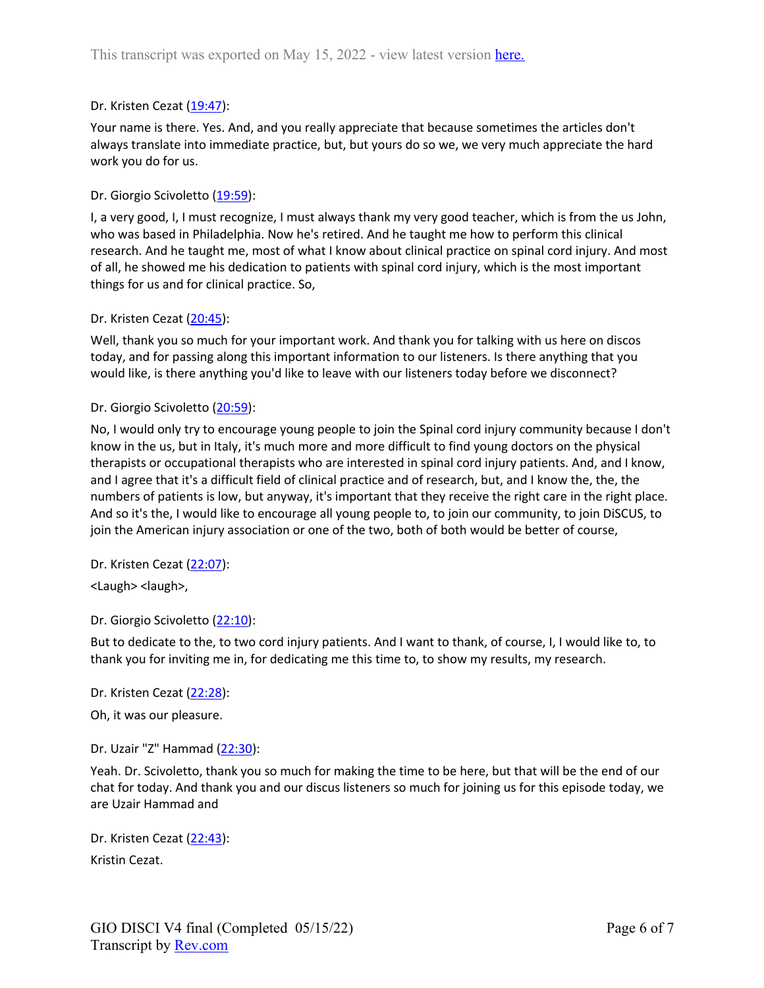## Dr. Kristen Cezat (19:47):

Your name is there. Yes. And, and you really appreciate that because sometimes the articles don't always translate into immediate practice, but, but yours do so we, we very much appreciate the hard work you do for us.

### Dr. Giorgio Scivoletto (19:59):

I, a very good, I, I must recognize, I must always thank my very good teacher, which is from the us John, who was based in Philadelphia. Now he's retired. And he taught me how to perform this clinical research. And he taught me, most of what I know about clinical practice on spinal cord injury. And most of all, he showed me his dedication to patients with spinal cord injury, which is the most important things for us and for clinical practice. So,

### Dr. Kristen Cezat (20:45):

Well, thank you so much for your important work. And thank you for talking with us here on discos today, and for passing along this important information to our listeners. Is there anything that you would like, is there anything you'd like to leave with our listeners today before we disconnect?

### Dr. Giorgio Scivoletto (20:59):

No, I would only try to encourage young people to join the Spinal cord injury community because I don't know in the us, but in Italy, it's much more and more difficult to find young doctors on the physical therapists or occupational therapists who are interested in spinal cord injury patients. And, and I know, and I agree that it's a difficult field of clinical practice and of research, but, and I know the, the, the numbers of patients is low, but anyway, it's important that they receive the right care in the right place. And so it's the, I would like to encourage all young people to, to join our community, to join DiSCUS, to join the American injury association or one of the two, both of both would be better of course,

#### Dr. Kristen Cezat (22:07):

<Laugh> <laugh>,

#### Dr. Giorgio Scivoletto (22:10):

But to dedicate to the, to two cord injury patients. And I want to thank, of course, I, I would like to, to thank you for inviting me in, for dedicating me this time to, to show my results, my research.

#### Dr. Kristen Cezat (22:28):

Oh, it was our pleasure.

### Dr. Uzair "Z" Hammad (22:30):

Yeah. Dr. Scivoletto, thank you so much for making the time to be here, but that will be the end of our chat for today. And thank you and our discus listeners so much for joining us for this episode today, we are Uzair Hammad and

Dr. Kristen Cezat (22:43): Kristin Cezat.